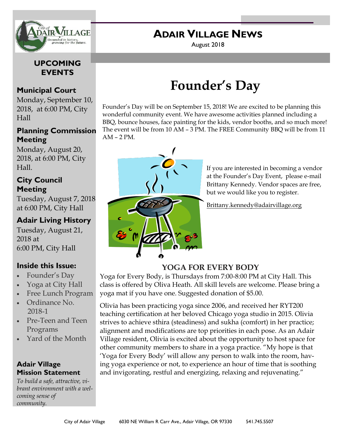

### **ADAIR VILLAGE NEWS**

August 2018

### **UPCOMING EVENTS**

### **Municipal Court**

Monday, September 10, 2018, at 6:00 PM, City Hall

### **Planning Commission Meeting**

Monday, August 20, 2018, at 6:00 PM, City Hall.

### **City Council Meeting**

Tuesday, August 7, 2018 at 6:00 PM, City Hall

### **Adair Living History**

Tuesday, August 21, 2018 at 6:00 PM, City Hall

### **Inside this Issue:**

- Founder's Day
- Yoga at City Hall
- Free Lunch Program
- Ordinance No. 2018-1
- Pre-Teen and Teen Programs
- Yard of the Month

### **Adair Village Mission Statement**

*To build a safe, attractive, vibrant environment with a welcoming sense of community.*

## **Founder's Day**

Founder's Day will be on September 15, 2018! We are excited to be planning this wonderful community event. We have awesome activities planned including a BBQ, bounce houses, face painting for the kids, vendor booths, and so much more! The event will be from 10 AM – 3 PM. The FREE Community BBQ will be from 11 AM – 2 PM.



If you are interested in becoming a vendor at the Founder's Day Event, please e-mail Brittany Kennedy. Vendor spaces are free, but we would like you to register.

Brittany.kennedy@adairvillage.org

### **YOGA FOR EVERY BODY**

Yoga for Every Body, is Thursdays from 7:00-8:00 PM at City Hall. This class is offered by Oliva Heath. All skill levels are welcome. Please bring a yoga mat if you have one. Suggested donation of \$5.00.

Olivia has been practicing yoga since 2006, and received her RYT200 teaching certification at her beloved Chicago yoga studio in 2015. Olivia strives to achieve sthira (steadiness) and sukha (comfort) in her practice; alignment and modifications are top priorities in each pose. As an Adair Village resident, Olivia is excited about the opportunity to host space for other community members to share in a yoga practice. "My hope is that 'Yoga for Every Body' will allow any person to walk into the room, having yoga experience or not, to experience an hour of time that is soothing and invigorating, restful and energizing, relaxing and rejuvenating."